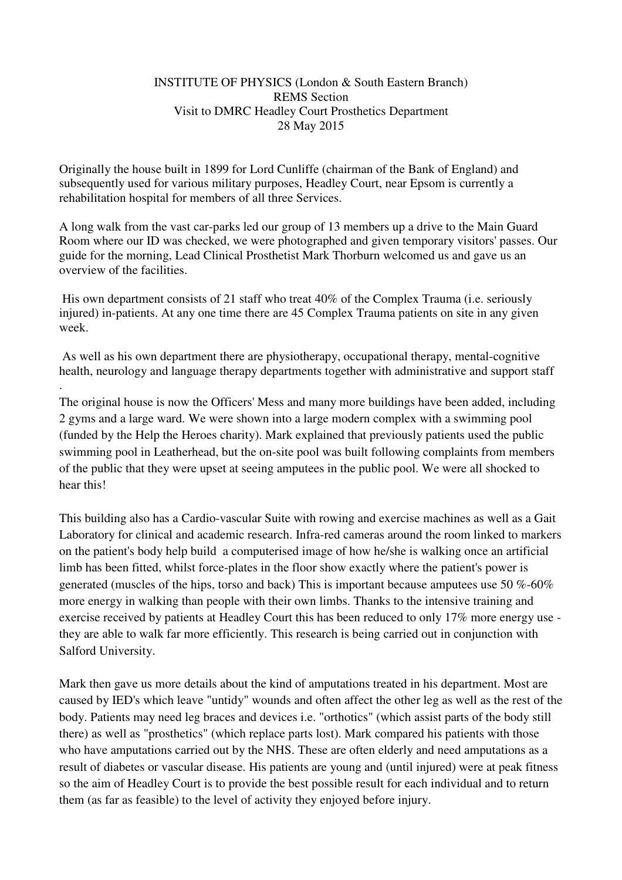## INSTITUTE OF PHYSICS (London & South Eastern Branch) REMS Section Visit to DMRC Headley Court Prosthetics Department 28 May 2015

Originally the house built in 1899 for Lord Cunliffe (chairman of the Bank of England) and subsequently used for various military purposes, Headley Court, near Epsom is currently a rehabilitation hospital for members of all three Services.

A long walk from the vast car-parks led our group of 13 members up a drive to the Main Guard Room where our ID was checked, we were photographed and given temporary visitors' passes. Our guide for the morning, Lead Clinical Prosthetist Mark Thorburn welcomed us and gave us an overview of the facilities.

 His own department consists of 21 staff who treat 40% of the Complex Trauma (i.e. seriously injured) in-patients. At any one time there are 45 Complex Trauma patients on site in any given week.

 As well as his own department there are physiotherapy, occupational therapy, mental-cognitive health, neurology and language therapy departments together with administrative and support staff

.

The original house is now the Officers' Mess and many more buildings have been added, including 2 gyms and a large ward. We were shown into a large modern complex with a swimming pool (funded by the Help the Heroes charity). Mark explained that previously patients used the public swimming pool in Leatherhead, but the on-site pool was built following complaints from members of the public that they were upset at seeing amputees in the public pool. We were all shocked to hear this!

This building also has a Cardio-vascular Suite with rowing and exercise machines as well as a Gait Laboratory for clinical and academic research. Infra-red cameras around the room linked to markers on the patient's body help build a computerised image of how he/she is walking once an artificial limb has been fitted, whilst force-plates in the floor show exactly where the patient's power is generated (muscles of the hips, torso and back) This is important because amputees use 50 %-60% more energy in walking than people with their own limbs. Thanks to the intensive training and exercise received by patients at Headley Court this has been reduced to only 17% more energy use they are able to walk far more efficiently. This research is being carried out in conjunction with Salford University.

Mark then gave us more details about the kind of amputations treated in his department. Most are caused by IED's which leave "untidy" wounds and often affect the other leg as well as the rest of the body. Patients may need leg braces and devices i.e. "orthotics" (which assist parts of the body still there) as well as "prosthetics" (which replace parts lost). Mark compared his patients with those who have amputations carried out by the NHS. These are often elderly and need amputations as a result of diabetes or vascular disease. His patients are young and (until injured) were at peak fitness so the aim of Headley Court is to provide the best possible result for each individual and to return them (as far as feasible) to the level of activity they enjoyed before injury.